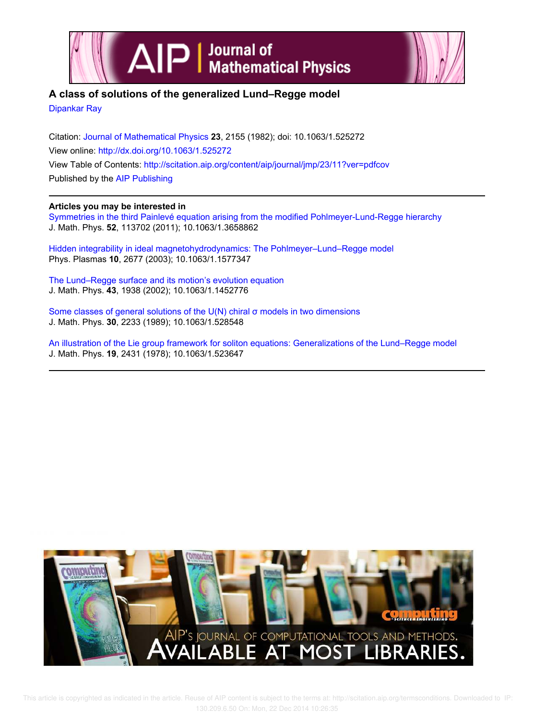



# **A class of solutions of the generalized Lund–Regge model**

Dipankar Ray

Citation: Journal of Mathematical Physics **23**, 2155 (1982); doi: 10.1063/1.525272 View online: http://dx.doi.org/10.1063/1.525272 View Table of Contents: http://scitation.aip.org/content/aip/journal/jmp/23/11?ver=pdfcov Published by the AIP Publishing

# **Articles you may be interested in**

Symmetries in the third Painlevé equation arising from the modified Pohlmeyer-Lund-Regge hierarchy J. Math. Phys. **52**, 113702 (2011); 10.1063/1.3658862

Hidden integrability in ideal magnetohydrodynamics: The Pohlmeyer–Lund–Regge model Phys. Plasmas **10**, 2677 (2003); 10.1063/1.1577347

The Lund–Regge surface and its motion's evolution equation J. Math. Phys. **43**, 1938 (2002); 10.1063/1.1452776

Some classes of general solutions of the U(N) chiral σ models in two dimensions J. Math. Phys. **30**, 2233 (1989); 10.1063/1.528548

An illustration of the Lie group framework for soliton equations: Generalizations of the Lund–Regge model J. Math. Phys. **19**, 2431 (1978); 10.1063/1.523647

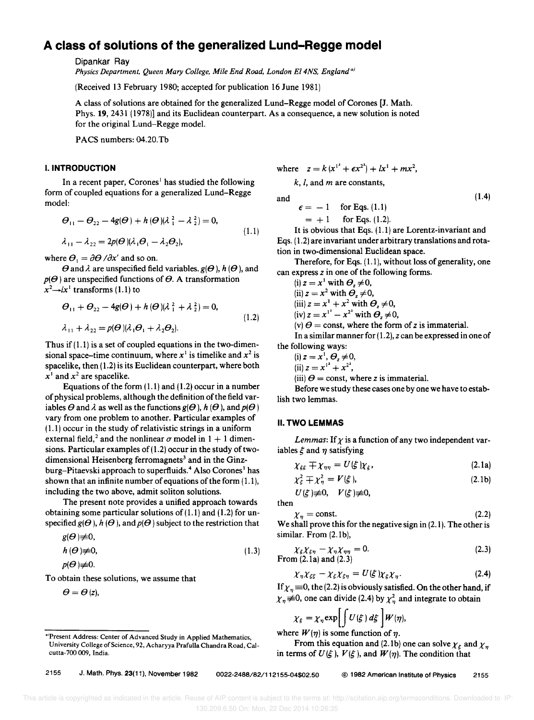# **A class of solutions of the generalized Lund-Regge model**

Dipankar Ray

*Physics Department, Queen Mary Col/ege, Mile End Road, London EI4NS, England <sup>a</sup> )* 

(Received 13 February 1980; accepted for publication 16 June 1981)

A class of solutions are obtained for the generalized Lund-Regge model of Corones [J. Math. Phys. 19, 2431 (1978)] and its Euclidean counterpart. As a consequence, a new solution is noted for the original Lund-Regge model.

PACS numbers: 04.20.Th

## **I. INTRODUCTION**

In a recent paper, Corones<sup>1</sup> has studied the following form of coupled equations for a generalized Lund-Regge model:

$$
\Theta_{11} - \Theta_{22} - 4g(\Theta) + h(\Theta)(\lambda_1^2 - \lambda_2^2) = 0,
$$
  
\n
$$
\lambda_{11} - \lambda_{22} = 2p(\Theta)(\lambda_1 \Theta_1 - \lambda_2 \Theta_2),
$$
\n(1.1)

where  $\theta_1 = \partial \theta / \partial x'$  and so on.

 $\theta$  and  $\lambda$  are unspecified field variables.  $g(\theta)$ ,  $h(\theta)$ , and  $p(\Theta)$  are unspecified functions of  $\Theta$ . A transformation  $x^2 \rightarrow i x^1$  transforms (1.1) to

$$
\theta_{11} + \theta_{22} - 4g(\theta) + h(\theta)(\lambda_1^2 + \lambda_2^2) = 0,
$$
  
\n
$$
\lambda_{11} + \lambda_{22} = p(\theta)(\lambda_1 \theta_1 + \lambda_2 \theta_2).
$$
\n(1.2)

Thus if  $(1.1)$  is a set of coupled equations in the two-dimensional space-time continuum, where  $x^1$  is timelike and  $x^2$  is spacelike, then (1.2) is its Euclidean counterpart, where both  $x^1$  and  $x^2$  are spacelike.

Equations of the form  $(1.1)$  and  $(1.2)$  occur in a number of physical problems, although the definition of the field variables  $\Theta$  and  $\lambda$  as well as the functions  $g(\Theta)$ ,  $h(\Theta)$ , and  $p(\Theta)$ vary from one problem to another. Particular examples of  $(1.1)$  occur in the study of relativistic strings in a uniform external field,<sup>2</sup> and the nonlinear  $\sigma$  model in 1 + 1 dimensions. Particular examples of  $(1.2)$  occur in the study of twodimensional Heisenberg ferromagnets<sup>3</sup> and in the Ginzburg-Pitaevski approach to superfluids.<sup>4</sup> Also Corones<sup>1</sup> has shown that an infinite number of equations of the form (1.1), including the two above, admit soliton solutions.

The present note provides a unified approach towards obtaining some particular solutions of  $(1.1)$  and  $(1.2)$  for unspecified  $g(\theta)$ ,  $h(\theta)$ , and  $p(\theta)$  subject to the restriction that

$$
g(\boldsymbol{\varTheta}){\not\equiv}0,
$$

$$
h(\Theta) \neq 0, \tag{1.3}
$$

$$
p(\boldsymbol{\Theta})\neq0.
$$

To obtain these solutions, we assume that

$$
\boldsymbol{\varTheta}=\boldsymbol{\varTheta}\left( z\right) ,
$$

where  $z = k(x^{1^2} + \epsilon x^{2^2}) + lx^1 + mx^2$ ,

*k, I,* and *m* are constants,

and

$$
= -1 \quad \text{for Eqs. (1.1)}= +1 \quad \text{for Eqs. (1.2).}
$$

It is obvious that Eqs. 
$$
(1.1)
$$
 are Lorentz-invariant and Eqs.  $(1.2)$  are invariant under arbitrary translations and rotation in two-dimensional Euclidean space.

(1.4)

Therefore, for Eqs. (1.1), without loss of generality, one can express *z* in one of the following forms.

(i) 
$$
z = x^1
$$
 with  $\theta_z \neq 0$ ,  
\n(ii)  $z = x^2$  with  $\theta_z \neq 0$ ,  
\n(iii)  $z = x^1 + x^2$  with  $\theta_z \neq 0$ ,  
\n(iv)  $z = x^{1^2} - x^{2^2}$  with  $\theta_z \neq 0$ ,

(v)  $\theta$  = const, where the form of *z* is immaterial.

In a similar manner for  $(1, 2)$ ,  $z$  can be expressed in one of the following ways:

$$
(i) z = x^1, \varTheta_z \neq 0,
$$

(ii) 
$$
z = x^{1^2} + x^{2^2}
$$
,

(iii)  $\theta$  = const, where *z* is immaterial.

Before we study these cases one by one we have to establish two lemmas.

#### **II. TWO LEMMAS**

*Lemmas:* If  $\chi$  is a function of any two independent variables  $\xi$  and  $\eta$  satisfying

$$
\chi_{\xi\xi} \mp \chi_{\eta\eta} = U(\xi) \chi_{\xi}, \qquad (2.1a)
$$

$$
\chi_{\xi}^2 \mp \chi_{\eta}^2 = V(\xi), \tag{2.1b}
$$

$$
U(\xi)\neq 0, \quad V(\xi)\neq 0,
$$

then

 $\chi_n = \text{const.}$  (2.2) We shall prove this for the negative sign in (2.1). The other is similar. From (2.1b),

$$
\chi_{\xi}\chi_{\xi\eta} - \chi_{\eta}\chi_{\eta\eta} = 0.
$$
\n
$$
\text{From (2.1a) and (2.3)} \tag{2.3}
$$

$$
\chi_{\eta} \chi_{\xi\xi} - \chi_{\xi} \chi_{\xi\eta} = U(\xi) \chi_{\xi} \chi_{\eta}.
$$
 (2.4)

If  $\chi_{\eta} \equiv 0$ , the (2.2) is obviously satisfied. On the other hand, if  $\chi_{\eta} \neq 0$ , one can divide (2.4) by  $\chi_{\eta}^2$  and integrate to obtain

$$
\chi_{\xi} = \chi_{\eta} \exp \left[ \int U(\xi) \, d\xi \right] W(\eta),
$$

where  $W(\eta)$  is some function of  $\eta$ .

From this equation and (2.1b) one can solve  $\chi_{\varepsilon}$  and  $\chi_{\eta}$ in terms of  $U(\xi)$ ,  $V(\xi)$ , and  $W(\eta)$ . The condition that

a)Present Address: Center of Advanced Study in Applied Mathematics, University College of Science, 92, Acharyya Prafulla Chandra Road, CaIcutta-700 009, India.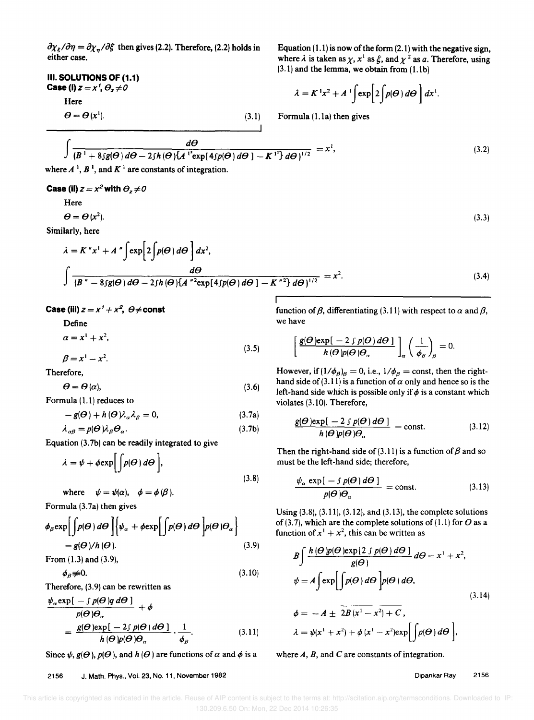$\partial \chi_{\xi}/\partial \eta = \partial \chi_{n}/\partial \xi$  then gives (2.2). Therefore, (2.2) holds in either case.

III. SOLUTIONS OF (1.1) Case (i)  $z = x^7$ ,  $\theta_z \neq 0$ Here  $\boldsymbol{\Theta} = \boldsymbol{\Theta}(\boldsymbol{x}^1).$  $(3.1)$  Equation  $(1.1)$  is now of the form  $(2.1)$  with the negative sign, where  $\lambda$  is taken as  $\chi$ ,  $x^1$  as  $\xi$ , and  $\chi^2$  as a. Therefore, using  $(3.1)$  and the lemma, we obtain from  $(1.1b)$ 

$$
\lambda = K^{1}x^{2} + A^{1}\int \exp\left[2\int p(\Theta) d\Theta\right] dx^{1}.
$$

Formula  $(1.1a)$  then gives

$$
\int \frac{d\Theta}{(B^1 + 8\int g(\Theta) d\Theta - 2\int h(\Theta) \{A^{12} \exp[4\int p(\Theta) d\Theta] - K^{12}\} d\Theta)^{1/2}} = x^1,
$$
\n(3.2)  
\nwhere  $A^1, B^1$ , and  $K^1$  are constants of integration.

Case (ii)  $z = x^2$  with  $\theta_z \neq 0$ 

Here

 $\boldsymbol{\Theta} = \boldsymbol{\Theta}\, (x^2).$ 

Similarly, here

$$
\lambda = K''x^1 + A''\int \exp\left[2\int p(\theta) d\theta\right] dx^2,
$$
\n
$$
\int \frac{d\theta}{(B'' - 8\int p(\theta) d\theta - 2\int p(\theta) \{A''^2 \exp[4\int p(\theta) d\theta] - K''^2\} d\theta)^{1/2}} = x^2.
$$
\n(3.4)

Case (iii)  $z = x^7 + x^2$ ,  $\Theta \neq$  const

Define

$$
\alpha = x^1 + x^2,\tag{3.5}
$$

Therefore,

$$
\Theta = \Theta \left( \alpha \right),\tag{3.6}
$$

Formula (1.1) reduces to

 $\beta = x^1 - x^2$ .

$$
-g(\Theta) + h(\Theta)\lambda_{\alpha}\lambda_{\beta} = 0, \qquad (3.7a)
$$

$$
\lambda_{\alpha\beta} = p(\Theta) \lambda_{\beta} \Theta_{\alpha}.
$$
 (3.7b)

Equation (3.7b) can be readily integrated to give

$$
\lambda = \psi + \phi \exp\biggl[\int p(\Theta) \, d\Theta\biggr],\tag{3.8}
$$

where  $\psi = \psi(\alpha)$ ,  $\phi = \phi(\beta)$ .

Formula (3.7a) then gives

$$
\phi_{\beta} \exp \left[ \int p(\Theta) \, d\Theta \right] \left\{ \psi_{\alpha} + \phi \exp \left[ \int p(\Theta) \, d\Theta \right] p(\Theta) \Theta_{\alpha} \right\}
$$
\n
$$
= g(\Theta) / h(\Theta).
$$
\nFrom (1.3) and (3.9),\n
$$
\tag{3.9}
$$

$$
\phi_{\beta} \neq 0. \tag{3.10}
$$

Therefore, (3.9) can be rewritten as

$$
\frac{\psi_{\alpha} \exp[-\int p(\Theta)q \, d\Theta]}{p(\Theta)\Theta_{\alpha}} + \phi
$$
\n
$$
= \frac{g(\Theta) \exp[-2\int p(\Theta) \, d\Theta]}{h(\Theta)p(\Theta)\Theta_{\alpha}} \cdot \frac{1}{\phi_{\beta}}.
$$
\n(3.11)

Since  $\psi$ ,  $g(\theta)$ ,  $p(\theta)$ , and  $h(\theta)$  are functions of  $\alpha$  and  $\phi$  is a

function of  $\beta$ , differentiating (3.11) with respect to  $\alpha$  and  $\beta$ , we have

(3.3)

$$
\left[\frac{g(\Theta)\exp[-2\int p(\Theta)\,d\Theta]}{h(\Theta)p(\Theta)\Theta_{\alpha}}\right]_{\alpha}\left(\frac{1}{\phi_{\beta}}\right)_{\beta}=0.
$$

However, if  $(1/\phi_B)_B = 0$ , i.e.,  $1/\phi_B = \text{const}$ , then the righthand side of (3.11) is a function of  $\alpha$  only and hence so is the left-hand side which is possible only if  $\phi$  is a constant which violates (3.10). Therefore,

$$
\frac{g(\Theta)\exp[-2\int p(\Theta)\,d\Theta]}{h(\Theta)p(\Theta)\Theta_{\alpha}} = \text{const.} \tag{3.12}
$$

Then the right-hand side of (3.11) is a function of  $\beta$  and so must be the left-hand side; therefore,

$$
\frac{\psi_{\alpha} \exp[-\int p(\Theta) \, d\Theta]}{p(\Theta) \Theta_{\alpha}} = \text{const.}
$$
\n(3.13)

Using (3.8), (3.11), (3.12), and (3.13), the complete solutions of (3.7), which are the complete solutions of (1.1) for  $\theta$  as a function of  $x^1 + x^2$ , this can be written as

$$
B\int \frac{h(\Theta)p(\Theta)\exp[2\int p(\Theta)\,d\Theta]}{g(\Theta)}\,d\Theta = x^1 + x^2,
$$
  

$$
\psi = A\int \exp\left[\int p(\Theta)\,d\Theta\right]p(\Theta)\,d\Theta,
$$
  

$$
\phi = -A \pm \overline{2B(x^1 - x^2) + C},
$$
\n(3.14)

$$
\lambda = \psi(x^1 + x^2) + \phi(x^1 - x^2) \exp\biggl[\int p(\Theta) d\Theta\biggr],
$$

where  $A$ ,  $B$ , and  $C$  are constants of integration.

Dipankar Ray 2156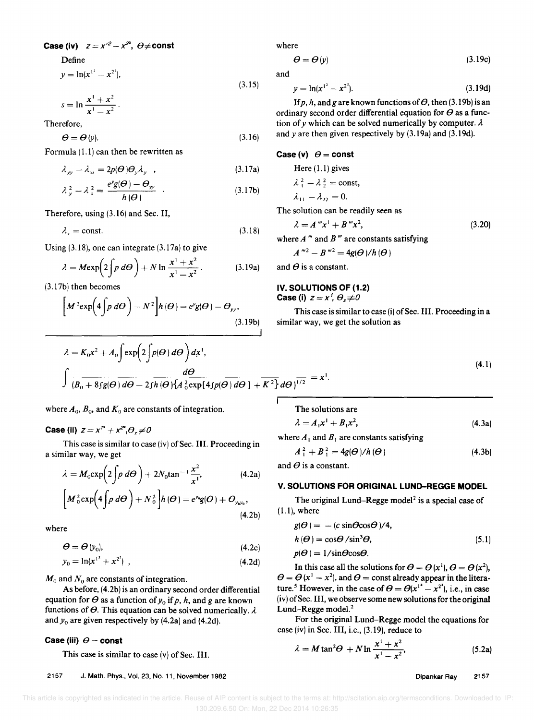Case (iv)  $z = x'^2 - x^{27}$ ,  $\theta \neq$  const.

Define

$$
y = \ln(x^{1^2} - x^{2^2}),
$$
\n(3.15)

$$
s=\ln\frac{x^1+x^2}{x^1-x^2}.
$$

Therefore,

$$
\Theta = \Theta \left( y \right). \tag{3.16}
$$

Formula (1.1) can then be rewritten as

$$
\lambda_{yy} - \lambda_{ss} = 2p(\boldsymbol{\Theta})\boldsymbol{\Theta}_y\lambda_y \quad , \tag{3.17a}
$$

$$
\lambda_{y}^{2} - \lambda_{s}^{2} = \frac{e^{y}g(\Theta) - \Theta_{yy}}{h(\Theta)} \quad . \tag{3.17b}
$$

Therefore, using (3.16) and Sec. II,

$$
\lambda_s = \text{const.} \tag{3.18}
$$

Using (3.18), one can integrate (3.17a) to give  
\n
$$
\lambda = M \exp\left(2 \int p \, d\Theta\right) + N \ln \frac{x^1 + x^2}{x^1 - x^2}.
$$
\n(3.19a)

(3.17b) then becomes

$$
\left[M^{2} \exp\left(4 \int p \, d\Theta\right) - N^{2}\right] h(\Theta) = e^{y}g(\Theta) - \Theta_{yy},
$$
\n(3.19b)

where

$$
\Theta = \Theta \left( y \right) \tag{3.19c}
$$

and

$$
y = \ln(x^{1^2} - x^{2^2}).
$$
 (3.19d)

If p, h, and g are known functions of  $\Theta$ , then (3.19b) is an ordinary second order differential equation for  $\theta$  as a function of y which can be solved numerically by computer.  $\lambda$ and  $y$  are then given respectively by  $(3.19a)$  and  $(3.19d)$ .

#### Case (v)  $\theta$  = const

Here (1.1) gives  
\n
$$
\lambda_1^2 - \lambda_2^2 = \text{const},
$$
\n
$$
\lambda_{11} - \lambda_{22} = 0.
$$

The solution can be readily seen as

$$
\lambda = A'''x^1 + B''x^2, \tag{3.20}
$$

where *A* '" and *B* '" are constants satisfying

$$
A^{m2}-B^{m2}=4g(\Theta)/h(\Theta)
$$

and  $\theta$  is a constant.

I

### IV. SOLUTIONS OF (1.2) Case (i)  $z = x'$ ,  $\theta_z \neq 0$

This case is similar to case (i) of Sec. III. Proceeding in a similar way, we get the solution as

$$
(4.1)
$$

$$
\int \frac{d\Theta}{(B_0 + 8\int g(\Theta) d\Theta - 2\int h(\Theta) \{A_0^2 \exp[4\int p(\Theta) d\Theta] + K^2\} d\Theta)^{1/2}} = x^1.
$$

where  $A_0$ ,  $B_0$ , and  $K_0$  are constants of integration.

 $\lambda = K_0 x^2 + A_0 \int \exp\left(2 \int p(\boldsymbol{\Theta}) d\boldsymbol{\Theta}\right) d\mathbf{x}^1$ ,

**Case (ii)**  $z = x^{12} + x^{22}$ ,  $\theta$ ,  $\neq 0$ 

This case is similar to case (iv) of Sec. III. Proceeding in a similar way, we get

$$
\lambda = M_0 \exp\left(2\int p \, d\Theta\right) + 2N_0 \tan^{-1} \frac{x^2}{x^1},\tag{4.2a}
$$

$$
\left[M_{0}^{2}\exp\left(4\int p\,d\Theta\right)+N_{0}^{2}\right]h\left(\Theta\right)=e^{\nu_{0}}g(\Theta)+\Theta_{\nu_{0}\nu_{0}},\tag{4.2b}
$$

where

$$
\Theta = \Theta \left( y_0 \right), \tag{4.2c}
$$

$$
y_0 = \ln(x^{1^2} + x^{2^2}) \tag{4.2d}
$$

 $M_0$  and  $N_0$  are constants of integration.

As before, (4.2b) is an ordinary second order differential equation for  $\Theta$  as a function of  $y_0$  if p, h, and g are known functions of  $\theta$ . This equation can be solved numerically.  $\lambda$ and  $y_0$  are given respectively by  $(4.2a)$  and  $(4.2d)$ .

### Case (iii)  $\theta$  = const

This case is similar to case (v) of Sec. III.

2157 J. Math. Phys., Vol. 23, No. 11, November 1982

The solutions are

$$
\lambda = A_1 x^1 + B_1 x^2, \tag{4.3a}
$$

where  $A_1$  and  $B_1$  are constants satisfying

$$
A_1^2 + B_1^2 = 4g(\Theta)/h(\Theta)
$$
 (4.3b)

and  $\theta$  is a constant.

## V. SOLUTIONS FOR ORIGINAL LUND-REGGE MODEL

The original Lund-Regge model<sup>2</sup> is a special case of  $(1.1)$ , where

$$
g(\Theta) = - (c \sin \Theta \cos \Theta)/4,\nh(\Theta) = \cos \Theta / \sin^3 \Theta,\np(\Theta) = 1 / \sin \Theta \cos \Theta.
$$
\n(5.1)

In this case all the solutions for  $\theta = \theta(x^1)$ ,  $\theta = \theta(x^2)$ ,  $\theta = \theta (x^1 - x^2)$ , and  $\theta =$  const already appear in the literature.<sup>5</sup> However, in the case of  $\theta = \theta(x^{1^2} - x^{2^2})$ , i.e., in case (iv) of Sec. III, we observe some new solutions for the original Lund-Regge model.<sup>2</sup>

For the original Lund-Regge model the equations for case (iv) in Sec. III, i.e., (3.19), reduce to

$$
\lambda = M \tan^2 \Theta + N \ln \frac{x^1 + x^2}{x^1 - x^2},
$$
\n(5.2a)

Dipankar Ray 2157